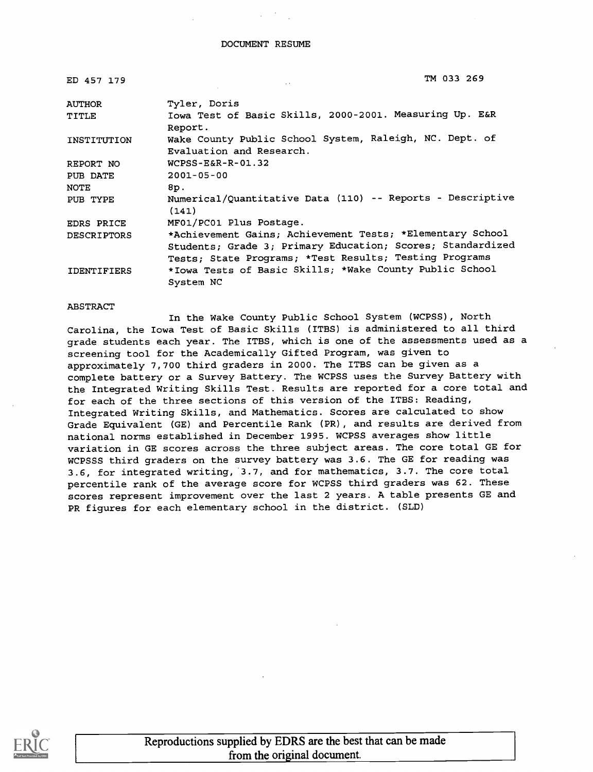| ED 457 179         | TM 033 269                                                                                                                                                                        |
|--------------------|-----------------------------------------------------------------------------------------------------------------------------------------------------------------------------------|
| <b>AUTHOR</b>      | Tyler, Doris                                                                                                                                                                      |
| TITLE              | Iowa Test of Basic Skills, 2000-2001. Measuring Up. E&R<br>Report.                                                                                                                |
| INSTITUTION        | Wake County Public School System, Raleigh, NC. Dept. of<br>Evaluation and Research.                                                                                               |
| REPORT NO          | $WCPSS - E&R - R - 01.32$                                                                                                                                                         |
| PUB DATE           | $2001 - 05 - 00$                                                                                                                                                                  |
| <b>NOTE</b>        | 8p.                                                                                                                                                                               |
| PUB TYPE           | Numerical/Quantitative Data (110) -- Reports - Descriptive<br>(141)                                                                                                               |
| EDRS PRICE         | MF01/PC01 Plus Postage.                                                                                                                                                           |
| <b>DESCRIPTORS</b> | *Achievement Gains; Achievement Tests; *Elementary School<br>Students; Grade 3; Primary Education; Scores; Standardized<br>Tests; State Programs; *Test Results; Testing Programs |
| <b>IDENTIFIERS</b> | *Iowa Tests of Basic Skills; *Wake County Public School<br>System NC                                                                                                              |

#### ABSTRACT

In the Wake County Public School System (WCPSS), North Carolina, the Iowa Test of Basic Skills (ITBS) is administered to all third grade students each year. The ITBS, which is one of the assessments used as a screening tool for the Academically Gifted Program, was given to approximately 7,700 third graders in 2000. The ITBS can be given as a complete battery or a Survey Battery. The WCPSS uses the Survey Battery with the Integrated Writing Skills Test. Results are reported for a core total and for each of the three sections of this version of the ITBS: Reading, Integrated Writing Skills, and Mathematics. Scores are calculated to show Grade Equivalent (GE) and Percentile Rank (PR), and results are derived from national norms established in December 1995. WCPSS averages show little variation in GE scores across the three subject areas. The core total GE for WCPSSS third graders on the survey battery was 3.6. The GE for reading was 3.6, for integrated writing, 3.7, and for mathematics, 3.7. The core total percentile rank of the average score for WCPSS third graders was 62. These scores represent improvement over the last 2 years. A table presents GE and PR figures for each elementary school in the district. (SLD)

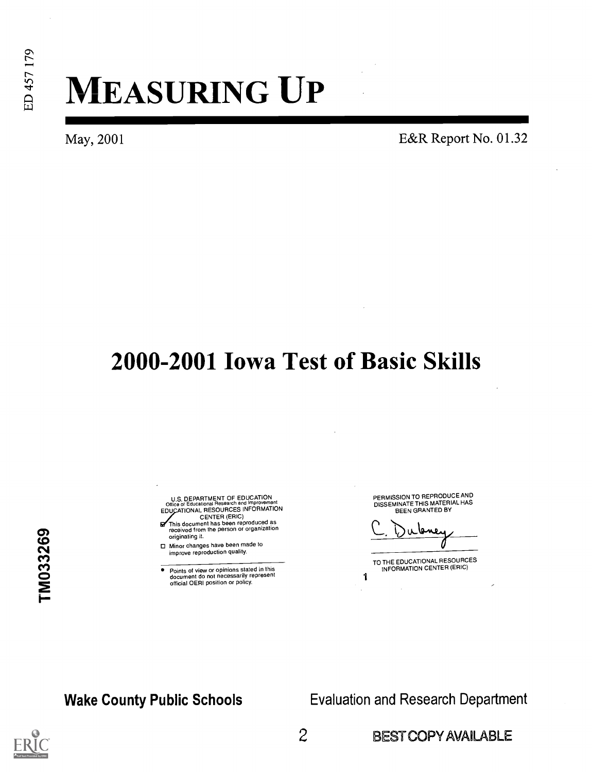# MEASURING UP

May, 2001 **E&R** Report No. 01.32

## 2000-2001 Iowa Test of Basic Skills

TM033269

- U.S. DEPARTMENT OF EDUCATION<br>Office of Educational Research and Improveme Office of Educational Research and Improvement<br>EDUCATIONAL RESOURCES INFORMATION
- CENTER (ERIC) This document has been reproduced as received from the person or organization originating it.
- O Minor changes have been made to improve reproduction quality.
- Points of view or opinions stated in this document do not necessarily represent official OERI position or policy.

PERMISSION TO REPRODUCE AND DISSEMINATE THIS MATERIAL HAS BEEN GRANTED BY

روسوا

TO THE EDUCATIONAL RESOURCES INFORMATION CENTER (ERIC)

1

Wake County Public Schools **Evaluation and Research Department** 

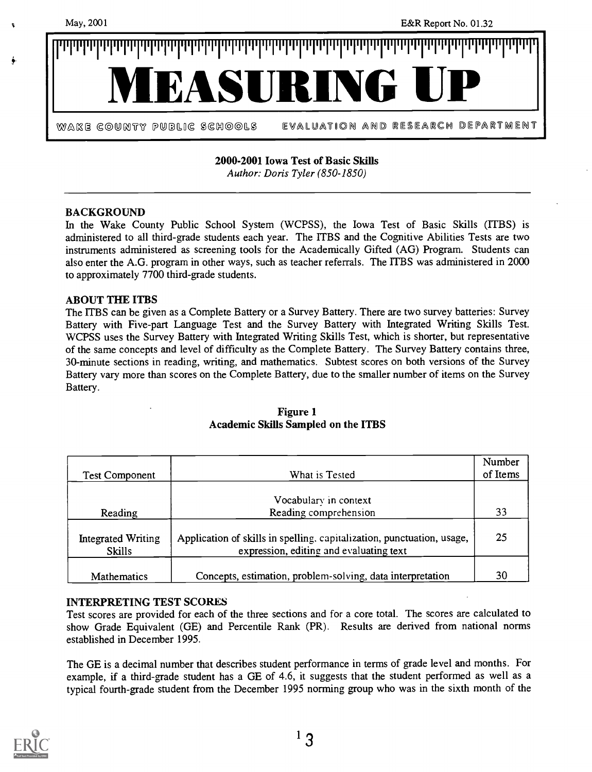

2000-2001 Iowa Test of Basic Skills

Author: Doris Tyler (850-1850)

#### BACKGROUND

In the Wake County Public School System (WCPSS), the Iowa Test of Basic Skills (ITBS) is administered to all third-grade students each year. The ITBS and the Cognitive Abilities Tests are two instruments administered as screening tools for the Academically Gifted (AG) Program. Students can also enter the A.G. program in other ways, such as teacher referrals. The ITBS was administered in 2000 to approximately 7700 third-grade students.

### ABOUT THE ITBS

The ITBS can be given as a Complete Battery or a Survey Battery. There are two survey batteries: Survey Battery with Five-part Language Test and the Survey Battery with Integrated Writing Skills Test. WCPSS uses the Survey Battery with Integrated Writing Skills Test, which is shorter, but representative of the same concepts and level of difficulty as the Complete Battery. The Survey Battery contains three, 30-minute sections in reading, writing, and mathematics. Subtest scores on both versions of the Survey Battery vary more than scores on the Complete Battery, due to the smaller number of items on the Survey Battery.

| <b>Test Component</b>                      | What is Tested                                                                                                    | Number<br>of Items |
|--------------------------------------------|-------------------------------------------------------------------------------------------------------------------|--------------------|
|                                            |                                                                                                                   |                    |
|                                            | Vocabulary in context                                                                                             |                    |
| Reading                                    | Reading comprehension                                                                                             | 33                 |
| <b>Integrated Writing</b><br><b>Skills</b> | Application of skills in spelling, capitalization, punctuation, usage,<br>expression, editing and evaluating text | 25                 |
| <b>Mathematics</b>                         | Concepts, estimation, problem-solving, data interpretation                                                        | 30                 |

### Figure 1 Academic Skills Sampled on the ITBS

### INTERPRETING TEST SCORES

Test scores are provided for each of the three sections and for a core total. The scores are calculated to show Grade Equivalent (GE) and Percentile Rank (PR). Results are derived from national norms established in December 1995.

The GE is a decimal number that describes student performance in terms of grade level and months. For example, if a third-grade student has a GE of 4.6, it suggests that the student performed as well as a typical fourth-grade student from the December 1995 norming group who was in the sixth month of the

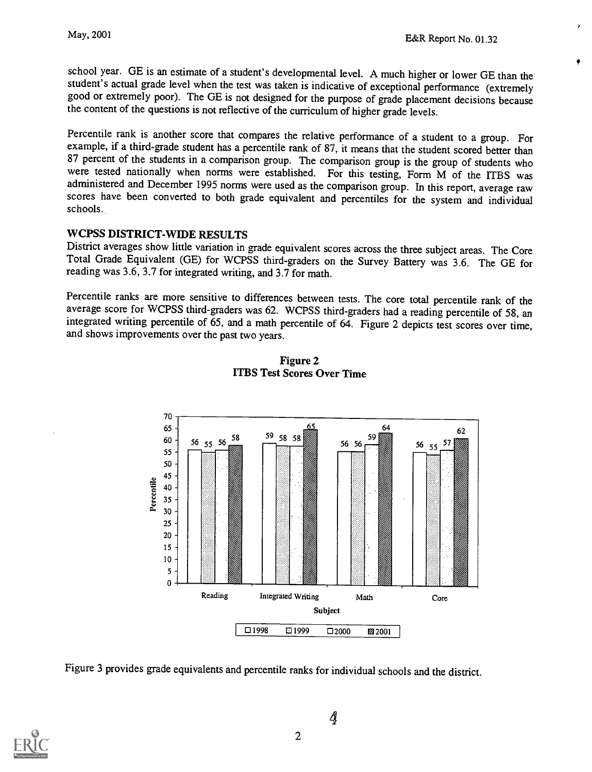school year. GE is an estimate of a student's developmental level. A much higher or lower GE than the student's actual grade level when the test was taken is indicative of exceptional performance (extremely good or extremely poor). The GE is not designed for the purpose of grade placement decisions because the content of the questions is not reflective of the curriculum of higher grade levels.

Percentile rank is another score that compares the relative performance of a student to a group. For example, if a third-grade student has a percentile rank of 87, it means that the student scored better than 87 percent of were tested nationally when norms were established. For this testing, Form M of the ITBS was administered and December 1995 norms were used as the comparison group. In this report, average raw scores have been converted to both grade equivalent and percentiles for the system and individual schools.

WCPSS DISTRICT-WIDE RESULTS<br>District averages show little variation in grade equivalent scores across the three subject areas. The Core Total Grade Equivalent (GE) for WCPSS third-graders on the Survey Battery was 3.6. The GE for reading was 3.6, 3.7 for integrated writing, and 3.7 for math.

Percentile ranks are more sensitive to differences between tests. The core total percentile rank of the average score for WCPSS third-graders was 62. WCPSS third-graders had a reading percentile of 58, an integrated writing percentile of 65, and a math percentile of 64. Figure 2 depicts test scores over time, and shows improvements over the past two years.



Figure 2 ITBS Test Scores Over Time

Figure 3 provides grade equivalents and percentile ranks for individual schools and the district.



4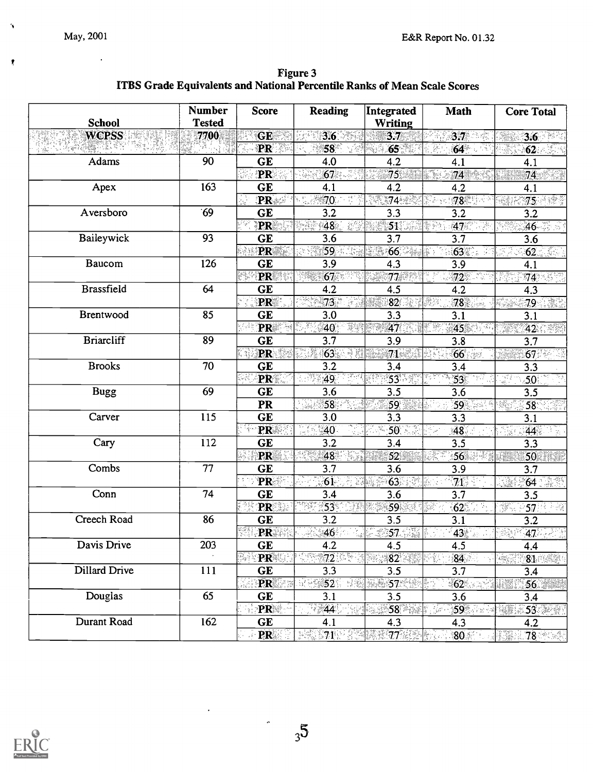$\pmb{\gamma}$ 

 $\pmb{\mathcal{R}}$ 

Figure 3 ITBS Grade Equivalents and National Percentile Ranks of Mean Scale Scores

| <b>School</b>     | <b>Number</b><br><b>Tested</b> | <b>Score</b>    | <b>Reading</b>                                                | Integrated<br><b>Writing</b>   | Math                        | <b>Core Total</b>                                                |
|-------------------|--------------------------------|-----------------|---------------------------------------------------------------|--------------------------------|-----------------------------|------------------------------------------------------------------|
| <b>WCPSS</b>      | 7700                           | <b>GE</b>       | $3.6\%$                                                       | 3.7                            | 3.7 <sub>z</sub><br>in din  | 3.6                                                              |
| 小飯                |                                | PR              | 58°                                                           | 65 <sup>°</sup>                | 64                          | $\overline{62}$                                                  |
| Adams             | 90                             | <b>GE</b>       | 4.0                                                           | 4.2                            | 4.1                         | 4.1                                                              |
|                   |                                | PR              | 67<br>وجنجية                                                  | $75^{\circ}$                   | 74<br>ya k                  | 74                                                               |
| Apex              | 163                            | <b>GE</b>       | 4.1                                                           | 4.2                            | 4.2                         | 4.1                                                              |
|                   |                                | PR              | 70<br>$\frac{1}{2}$                                           | 74                             | 78                          | 75.12                                                            |
| Aversboro         | 69                             | GE              | 3.2                                                           | 3.3                            | 3.2                         | 3.2                                                              |
|                   |                                | PR              | 48<br>조심                                                      | 51                             | 47<br>g pa<br>135           | $46 - 5$                                                         |
| Baileywick        | 93                             | <b>GE</b>       | 3.6                                                           | 3.7                            | 3.7                         | 3.6                                                              |
|                   |                                | PR              | 59                                                            | 66                             | 63                          | $62$ . $\sim$                                                    |
| Baucom            | 126                            | <b>GE</b>       | 3.9                                                           | 4.3                            | 3.9                         | 4.1                                                              |
|                   |                                | PR<br>e.        | 67                                                            | 77                             | 72                          | 74                                                               |
| <b>Brassfield</b> | 64                             | <b>GE</b>       | 4.2                                                           | 4.5                            | 4.2                         | 4.3                                                              |
|                   |                                | PR              | 73 <sup>2</sup>                                               | 82                             | 78                          | $79$ . $32$                                                      |
| Brentwood         | 85                             | GE              | 3.0                                                           | 3.3                            | 3.1                         | 3.1                                                              |
|                   |                                | PR              | 33<br>40                                                      | 47                             | 45 <sub>1</sub>             | 42.                                                              |
| <b>Briarcliff</b> | 89                             | <b>GE</b>       | 3.7                                                           | 3.9                            | 3.8                         | 3.7                                                              |
|                   |                                | <b>PR</b>       | 63.<br>38                                                     | $71^{\circ}$                   | 66<br>Zan                   | $67$ $\%$                                                        |
| <b>Brooks</b>     | 70                             | <b>GE</b>       | 3.2                                                           | 3.4                            | 3.4                         | 3.3                                                              |
|                   |                                | PR              | 49                                                            | 53                             | $\overline{53}$             | 50 <sub>1</sub>                                                  |
| <b>Bugg</b>       | 69                             | <b>GE</b>       | 3.6                                                           | 3.5                            | 3.6                         | 3.5                                                              |
|                   |                                | PR              | 58                                                            | 59                             | 59                          | 58 <sup>°</sup>                                                  |
| Carver            | 115                            | <b>GE</b>       | 3.0                                                           | 3.3                            | 3.3                         | 3.1                                                              |
|                   |                                | PR              | 40 <sup>°</sup><br>$\gamma_{1,2}$                             | $50 - 3$                       | $48^\circ$                  | 44.                                                              |
| Cary              | 112                            | <b>GE</b>       | 3.2                                                           | 3.4                            | 3.5                         | 3.3                                                              |
|                   |                                | PR              | 48<br>X.                                                      | 52                             | 56                          | 50                                                               |
| Combs             | 77                             | <b>GE</b>       | 3.7                                                           | 3.6                            | 3.9                         | 3.7                                                              |
|                   |                                | PR              | 桑<br>61<br>13                                                 | 63                             | 71                          | 64                                                               |
| Conn              | 74                             | GE              | 3.4                                                           | 3.6                            | 3.7                         | 3.5                                                              |
|                   |                                | PR              | $53^{\circ}$                                                  | 59                             | 62                          | $57^{\circ}$<br>XX.                                              |
| Creech Road       | 86                             | <b>GE</b>       | 3.2                                                           | 3.5                            | 3.1                         | 3.2                                                              |
|                   |                                | PR :            | 46                                                            | $\mathscr{F}$ 57 $\mathscr{T}$ | $43$ $^{11}$                | 47.7                                                             |
| Davis Drive       | 203                            | GE              | 4.2                                                           | 4.5                            | 4.5                         | 4.4                                                              |
|                   |                                | $\mathbb{Z}$ PR | $72\%$ .                                                      | 82 <sup>2</sup>                | 84                          | $81$ and $\overline{\mathcal{M}}$<br>$\mathcal{L}_{\mathcal{H}}$ |
| Dillard Drive     | 111                            | <b>GE</b>       | 3.3                                                           | 3.5                            | 3.7                         | 3.4                                                              |
|                   |                                | PR              | $\mathbb{R} \otimes \mathbb{S}2$ .<br>-98                     | 888 57 W                       | $-62$                       | 56                                                               |
| Douglas           | 65                             | <b>GE</b>       | 3.1                                                           | 3.5                            | 3.6                         | 3.4                                                              |
|                   |                                | PR              | 44                                                            | <b>∷58</b> ा √                 |                             |                                                                  |
| Durant Road       | 162                            | <b>GE</b>       | 4.1                                                           | 4.3                            | 4.3                         | 4.2                                                              |
|                   |                                | <b>PR</b>       | $\frac{1}{2}$ , $\frac{1}{2}$ , $\frac{1}{2}$ , $\frac{1}{2}$ | $77\%$                         | $80$ and $\sim$ $10$ $\sim$ | 78 88                                                            |



 $\ddot{\phantom{0}}$ 

 $\overline{\phantom{a}}$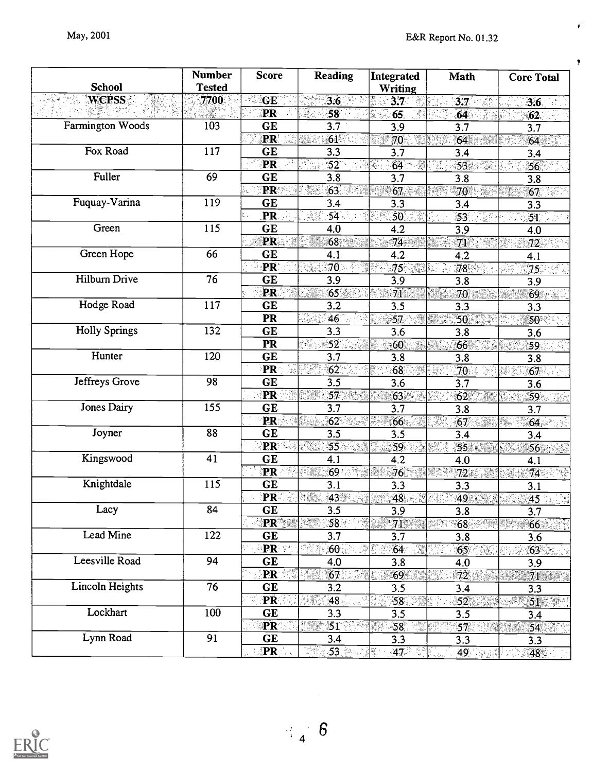$\vec{r}$ 

 $\pmb{y}$ 

|                      | <b>Number</b>   | <b>Score</b>             | <b>Reading</b>                                                                                     | Integrated      | Math                  | <b>Core Total</b>                     |
|----------------------|-----------------|--------------------------|----------------------------------------------------------------------------------------------------|-----------------|-----------------------|---------------------------------------|
| <b>School</b>        | <b>Tested</b>   |                          |                                                                                                    | Writing         |                       |                                       |
| <b>WCPSS</b>         | 7700            | <b>GE</b>                | 3.6                                                                                                | $3.7^\circ$     | $3.7 - 5$             | 3.6                                   |
|                      |                 | PR                       | K.<br>58                                                                                           | 65.             | 64<br>47.             | 62 <sub>1</sub>                       |
| Farmington Woods     | 103             | <b>GE</b>                | 3.7                                                                                                | 3.9             | 3.7                   | 3.7                                   |
|                      |                 | PR                       | 61                                                                                                 | $70^{\circ}$    | 64<br>IPS.            | 64                                    |
| Fox Road             | 117             | <b>GE</b>                | 3.3                                                                                                | 3.7             | 3.4                   | 3.4                                   |
|                      |                 | PR                       | $52^{\circ}$                                                                                       | $64 -$<br>¥.    | 53<br>- 개월<br>diktor. | 56 <sub>1</sub>                       |
| Fuller               | 69              | <b>GE</b>                | 3.8                                                                                                | 3.7             | 3.8                   | 3.8                                   |
|                      |                 | PR                       | $63$ and $63$                                                                                      | 67              | 70                    | $\overline{67}$ . $\overline{\cdots}$ |
| Fuquay-Varina        | 119             | <b>GE</b>                | 3.4                                                                                                | 3.3             | 3.4                   | 3.3                                   |
|                      |                 | PR.                      | $\overline{54}$<br>33                                                                              | 50              | $\overline{53}$       | $\overline{51}$                       |
| Green                | 115             | <b>GE</b>                | 4.0                                                                                                | 4.2             | 3.9                   | 4.0                                   |
|                      |                 | PR                       | 68.                                                                                                | 74.             | $\overline{71}$       | 72 <sub>2</sub>                       |
| Green Hope           | 66              | <b>GE</b>                | 4.1                                                                                                | 4.2             | 4.2                   | 4.1                                   |
|                      |                 | <b>PR</b>                | .70 <sub>1</sub>                                                                                   | 75              | 78                    | 75                                    |
| Hilburn Drive        | $\overline{76}$ | <b>GE</b>                | 3.9                                                                                                | 3.9             | 3.8                   | 3.9                                   |
|                      |                 | PR                       | 65.                                                                                                | 71              | 70                    | 69                                    |
| Hodge Road           | 117             | <b>GE</b>                | 3.2                                                                                                | 3.5             | 3.3                   | 3.3                                   |
|                      |                 | <b>PR</b>                | <u> 사</u> 수<br>46                                                                                  | 57.             | $50^{-}$<br>552       | $50^{\circ}$ .                        |
| <b>Holly Springs</b> | 132             | <b>GE</b>                | 3.3                                                                                                | 3.6             | 3.8                   | 3.6                                   |
|                      |                 | PR                       | 73<br>52 <sub>1</sub>                                                                              | 60              | 66                    | $\overline{59}$                       |
| Hunter               | 120             | GE                       | 3.7                                                                                                | 3.8             | 3.8                   | 3.8                                   |
|                      |                 | PR                       | $\overline{62}$                                                                                    | 68              | $\overline{70}$       | 67                                    |
| Jeffreys Grove       | 98              | <b>GE</b>                | $\overline{3.5}$                                                                                   | 3.6             | 3.7                   | 3.6                                   |
|                      |                 | PR                       |                                                                                                    | 63              | 62                    | 59                                    |
| Jones Dairy          | 155             | <b>GE</b>                | 3.7                                                                                                | 3.7             | 3.8                   | 3.7                                   |
|                      |                 | PR.                      | 62 <sub>2</sub>                                                                                    | 66              | 39<br>67              | 64<br>San J                           |
| Joyner               | 88              | <b>GE</b>                | 3.5                                                                                                | 3.5             | 3.4                   | 3.4                                   |
|                      |                 | <b>PR</b>                | 55                                                                                                 | $\overline{59}$ | 55                    | 56                                    |
| Kingswood            | 41              | <b>GE</b>                | 4.1                                                                                                | 4.2             | 4.0                   | 4.1                                   |
|                      |                 | PR                       | 69<br>Ria                                                                                          | 76              | 72 <sub>1</sub>       | 74                                    |
| Knightdale           | 115             | <b>GE</b>                | 3.1                                                                                                | 3.3             | 3.3                   | 3.1                                   |
|                      |                 | PR                       | 43                                                                                                 | 48              | 49                    | 45                                    |
| Lacy                 | 84              | <b>GE</b>                | 3.5                                                                                                | 3.9             | 3.8                   | 3.7                                   |
| Lead Mine            | 122             | $ PR^*  \geq 1$          |                                                                                                    | $71^{\circ}$    | 68 <sup>°</sup>       | 66                                    |
|                      |                 | GE                       | 3.7                                                                                                | 3.7             | 3.8                   | 3.6                                   |
| Leesville Road       |                 | <b>PRESS</b>             | 60.                                                                                                | 64              | $65^\circ$            | 63 <sub>1</sub>                       |
|                      | 94              | GE                       | 4.0                                                                                                | 3.8             | 4.0                   | 3.9                                   |
| Lincoln Heights      | 76              | $PR =$                   | 67 <sup>°</sup>                                                                                    | $69 -$          | 72                    | 71                                    |
|                      |                 | GE                       | 3.2                                                                                                | 3.5             | 3.4                   | 3.3                                   |
| Lockhart             | 100             | PR                       | 48.<br>$\label{eq:4} \mathcal{L}_{\mathcal{B}}=\mathcal{L}_{\mathcal{B}}\mathcal{L}_{\mathcal{B}}$ | 58              | 52 <sub>1</sub>       | 51                                    |
|                      |                 | <b>GE</b>                | 3.3                                                                                                | 3.5             | 3.5                   | 3.4                                   |
| Lynn Road            | $\overline{91}$ | $\overline{\mathbf{PR}}$ | $51^{\circ}$                                                                                       | 58 <sub>1</sub> | 57                    | 54                                    |
|                      |                 | GE                       | 3.4                                                                                                | 3.3             | 3.3                   | 3.3                                   |
|                      |                 | PR                       | .5 <u>3. Andre</u>                                                                                 | $-47$ $-$       | 49                    | 48                                    |



 $\mathbb{E}_{\mathbf{4}}\otimes \mathbf{6}$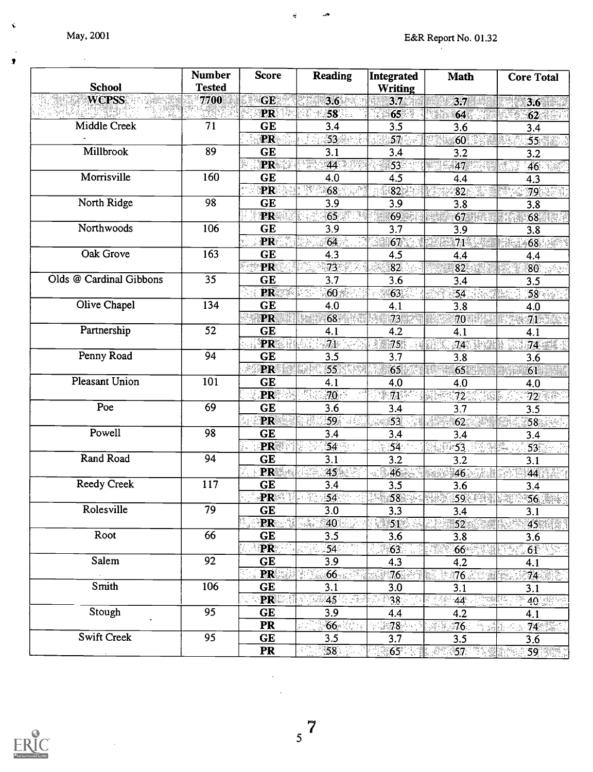$\sim$   $\sim$ 

Ń

 $\overline{\overline{x}}$ 

| <b>School</b>           | <b>Number</b><br><b>Tested</b> | <b>Score</b>                                     | <b>Reading</b>       | Integrated<br><b>Writing</b> | <b>Math</b>           | <b>Core Total</b> |
|-------------------------|--------------------------------|--------------------------------------------------|----------------------|------------------------------|-----------------------|-------------------|
| <b>WCPSS</b>            | 7700                           | GE                                               | 3.6                  | 3.7                          | 3.7                   | 3.6               |
|                         |                                | <b>PR</b>                                        | 58                   | 65 <sup>°</sup>              | 64                    | 62                |
| Middle Creek            | 71                             | <b>GE</b>                                        | 3.4                  | 3.5                          | 3.6                   | 3.4               |
|                         |                                | <b>PR</b>                                        | $53 -$               | $57$ $\sim$                  | 60                    | 55 825            |
| Millbrook               | 89                             | <b>GE</b>                                        | 3.1                  | 3.4                          | 3.2                   | 3.2               |
|                         |                                | PR .<br>X.                                       | ti Tengko<br>K<br>44 | $53 -$                       | 47                    | 46                |
| Morrisville             | 160                            | <b>GE</b>                                        | 4.0                  | 4.5                          | 4.4                   | 4.3               |
|                         |                                | <b>PR</b>                                        | 68                   | 82                           | $\overline{82}$<br>S. | 79                |
| North Ridge             | 98                             | GE                                               | 3.9                  | 3.9                          | 3.8                   | 3.8               |
|                         |                                | <b>PR</b>                                        | 65                   | 69                           | $67$ and $67$         | 68<br>23          |
| Northwoods              | 106                            | GE                                               | 3.9                  | 3.7                          | 3.9                   | 3.8               |
|                         |                                | PR                                               | 64                   | 67.                          | 71%<br>.<br>Palab     | 68 <sup>°</sup>   |
| Oak Grove               | 163                            | GE                                               | 4.3                  | 4.5                          | 4.4                   | 4.4               |
|                         |                                | PR                                               | 73 <sup>°</sup>      | $\overline{82}$              | 82                    | $80 -$            |
| Olds @ Cardinal Gibbons | 35                             | GE                                               | 3.7                  | 3.6                          | 3.4                   | 3.5               |
|                         |                                | <b>PR</b>                                        | $60\%$               | 63                           | 54                    | 58                |
| Olive Chapel            | 134                            | <b>GE</b>                                        | 4.0                  | 4.1                          | 3.8                   | 4.0               |
|                         |                                | PR                                               | 68                   | 73                           | $70^{\circ}$          | 71                |
| Partnership             | 52                             | <b>GE</b>                                        | 4.1                  | 4.2                          | 4.1                   | 4.1               |
|                         |                                | <b>PR</b>                                        | 71                   | $75^{\circ}$                 | 74                    |                   |
| Penny Road              | 94                             | <b>GE</b>                                        | 3.5                  | 3.7                          | 3.8                   | 3.6               |
|                         |                                | <b>PR</b>                                        | 55                   | 65                           | 65                    | 61                |
| Pleasant Union          | 101                            | GE                                               | 4.1                  | 4.0                          | 4.0                   | 4.0               |
|                         |                                | <b>PR</b>                                        | $70 -$               | $71\%$                       | $72^{\circ}$          | $72$ .            |
| Poe                     | 69                             | <b>GE</b>                                        | 3.6                  | 3.4                          | 3.7                   | 3.5               |
|                         |                                | PR                                               | 59 8                 | 53                           | 62 <sub>1</sub>       | 58                |
| Powell                  | 98                             | <b>GE</b>                                        | 3.4                  | 3.4                          | 3.4                   | 3.4               |
|                         |                                | PR                                               | 54                   | 54                           | $-53$                 | 53                |
| Rand Road               | 94                             | <b>GE</b>                                        | 3.1                  | 3.2                          | 3.2                   | 3.1               |
|                         |                                | PR                                               | 45                   | $46 -$                       | $46^{\circ}$          | 44                |
| <b>Reedy Creek</b>      | 117                            | GE                                               | 3.4                  | 3.5                          | 3.6                   | 3.4               |
|                         |                                | <b>PR</b>                                        | 54                   | $\overline{58}$              | 59 19                 |                   |
| Rolesville              | 79                             | <b>GE</b>                                        | 3.0                  | 3.3                          | 3.4                   | 3.1               |
|                         |                                | <b>PR</b>                                        | X<br>40              | $51^\circ$                   | 52 <sub>2</sub>       | 45 <sup>2</sup>   |
| Root                    | 66                             | GE                                               | 3.5                  | 3.6                          | 3.8                   | 3.6               |
|                         |                                | <b>PR</b>                                        | $54^\circ$           | 63                           | 66                    | 61                |
| Salem                   | 92                             | <b>GE</b>                                        | 3.9                  | 4.3                          | 4.2                   | 4.1               |
|                         |                                | <b>PR</b>                                        | 66<br>년대             | $76$ .                       | <b>76</b>             | $-74$             |
| Smith                   | 106                            | GE                                               | 3.1                  | 3.0                          | 3.1                   | 3.1               |
|                         |                                | $\mathbb{R}^n$ , $\mathbb{R}^n$ , $\mathbb{R}^n$ | 45 1999              | $38^\circ$                   | 44                    | 40 285 22         |
| Stough                  | 95                             | GE                                               | 3.9                  | 4.4                          | 4.2                   | 4.1               |
|                         |                                | <b>PR</b>                                        | 66                   | ा8                           | ୀ6ି<br>14. 14 A       | 74                |
| Swift Creek             | 95                             | GE                                               | 3.5                  | 3.7                          | 3.5                   | 3.6               |
|                         |                                | <b>PR</b>                                        | 58                   | 65                           | 87657 RS              | 《《 59》《《          |

 $\hat{\mathbf{v}}$ 

 $\mathcal{A}^{\bullet}$ 



 $5^7$ 

 $\bar{z}$  $\bar{\mathcal{A}}$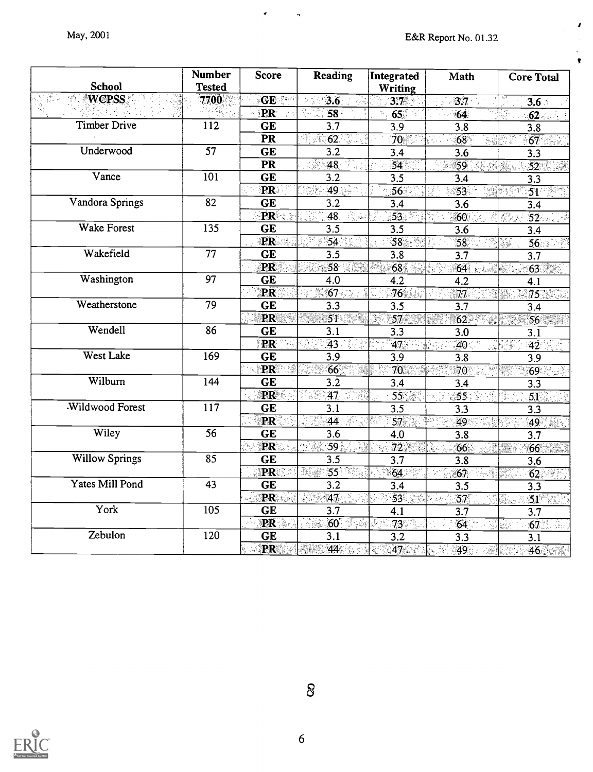$\pmb{J}$ 

 $\ddot{\phantom{a}}$  $\pmb{\tau}$ 

| <b>School</b>         | <b>Number</b><br><b>Tested</b> | <b>Score</b>           | <b>Reading</b>            | Integrated<br>Writing  | <b>Math</b>                       | <b>Core Total</b>                     |
|-----------------------|--------------------------------|------------------------|---------------------------|------------------------|-----------------------------------|---------------------------------------|
| <b>WCPSS</b>          | 7700                           | GE                     | 3.6                       | 3.7                    | 3.7 <sup>°</sup>                  | $3.6 -$                               |
|                       |                                | PR                     | $\overline{58}$           | 65 <sub>o</sub>        | 64                                | $62$ and $4$                          |
| <b>Timber Drive</b>   | $\overline{112}$               | <b>GE</b>              | $3.\overline{7}$          | $\overline{3.9}$       | $\overline{3.8}$                  | 3.8                                   |
|                       |                                | $\overline{\text{PR}}$ | 62<br>埋藏                  | 70                     | $\overline{68}$<br>Sġ             | 67                                    |
| Underwood             | $\overline{57}$                | $\overline{\text{GE}}$ | $\overline{3.2}$          | 3.4                    | 3.6                               | 3.3                                   |
|                       |                                | PR                     | $48 -$                    | $\overline{54}$        | $\overline{59}$                   | 52                                    |
| Vance                 | $\overline{101}$               | <b>GE</b>              | 3.2                       | 3.5                    | $\overline{3.4}$                  | 3.3                                   |
|                       |                                | <b>PR</b>              | 49.                       | 56                     | ు 53<br>-339                      | $51^{\circ}$                          |
| Vandora Springs       | 82                             | <b>GE</b>              | 3.2                       | 3.4                    | 3.6                               | 3.4                                   |
|                       |                                | PR                     | 48                        | $\overline{53}$        | 60                                | $52 -$<br><b>那点</b>                   |
| Wake Forest           | 135                            | <b>GE</b>              | 3.5                       | 3.5                    | 3.6                               | $\overline{3.4}$                      |
|                       |                                | <b>PR</b>              | 54                        | $\overline{58}$        | 58<br>79)                         | $\overline{56}$<br>X                  |
| Wakefield             | 77                             | <b>GE</b>              | 3.5                       | $\overline{3.8}$       | 3.7                               | $\overline{3.7}$                      |
|                       |                                | PR                     |                           | 68 <sup>7</sup><br>89) | 64<br>n die                       | 63                                    |
| Washington            | 97                             | $\overline{\text{GE}}$ | 4.0                       | $\overline{4.2}$       | $4.\overline{2}$                  | 4.1                                   |
|                       |                                | PR                     | $67$ . $\sim$             | 76                     | $\overline{77}$<br>E              | 75.                                   |
| Weatherstone          | 79                             | <b>GE</b>              | 3.3                       | 3.5                    | $\overline{3.7}$                  | 3.4                                   |
|                       |                                | PR                     | 51 <sup>2</sup>           | 57<br>Ñ.               | $62^{\overline{}}$                | $56 -$                                |
| Wendell               | 86                             | <b>GE</b>              | 3.1                       | 3.3                    | 3.0                               | 3.1                                   |
|                       |                                | PR                     | $\overline{43}$<br>ng Lis | 47.7                   | .40                               | $42 \div$<br>W                        |
| <b>West Lake</b>      | 169                            | GE                     | 3.9                       | 3.9                    | 3.8                               | 3.9                                   |
|                       |                                | PR                     | 66                        | $\overline{70}$        | $70^\circ$                        | $\overline{69}$ $\rightarrow$<br>한 93 |
| Wilburn               | 144                            | <b>GE</b>              | 3.2                       | 3.4                    | 3.4                               | 3.3                                   |
|                       |                                | PR                     | $47 \times 3$             | 55                     | 55                                | 51<br>ŝi                              |
| Wildwood Forest       | $11\overline{7}$               | <b>GE</b>              | 3.1                       | 3.5                    | 3.3                               | 3.3                                   |
|                       |                                | PR                     | $44 \div$                 | 57                     | 49                                | $49^{\circ}$                          |
| Wiley                 | $\overline{56}$                | <b>GE</b>              | 3.6                       | 4.0                    | 3.8                               | 3.7                                   |
|                       |                                | PR                     | 59 <sub>ii</sub>          | $72 -$                 | 66                                | 66                                    |
| <b>Willow Springs</b> | 85                             | <b>GE</b>              | $\overline{3.5}$          | $\overline{3.7}$       | $\overline{3.8}$                  | 3.6                                   |
|                       |                                | <b>PR</b>              | 55 <sub>1</sub><br>36.    | $\overline{64}$        | 67<br>$\mathcal{O}(\mathbb{R}^3)$ | 62                                    |
| Yates Mill Pond       | $\overline{43}$                | <b>GE</b>              | 3.2                       | 3.4                    | $\overline{3.5}$                  | 3.3                                   |
|                       |                                | PR                     | $\overline{47}$<br>CH)    | $\overline{53}$        | 57<br>Ý.<br>-52                   | 51<br>R                               |
| York                  | 105                            | $\overline{\text{GE}}$ | $\overline{3.7}$          | 4.1                    | 3.7                               | 3.7                                   |
|                       |                                | PR                     | $60$ . The $50$<br>Ñ.     | 73<br>Ŋ.               | 64                                | $67$ $\frac{2}{100}$                  |
| Zebulon               | 120                            | <b>GE</b>              | 3.1                       | $\overline{3.2}$       | 3.3                               | 3.1                                   |
|                       |                                | PR                     | 44                        | 47                     | 49<br>B                           | 46                                    |

 $\hat{\phantom{a}}$ 

 $\ddot{\phantom{1}}$ 



 $\delta$ 

6